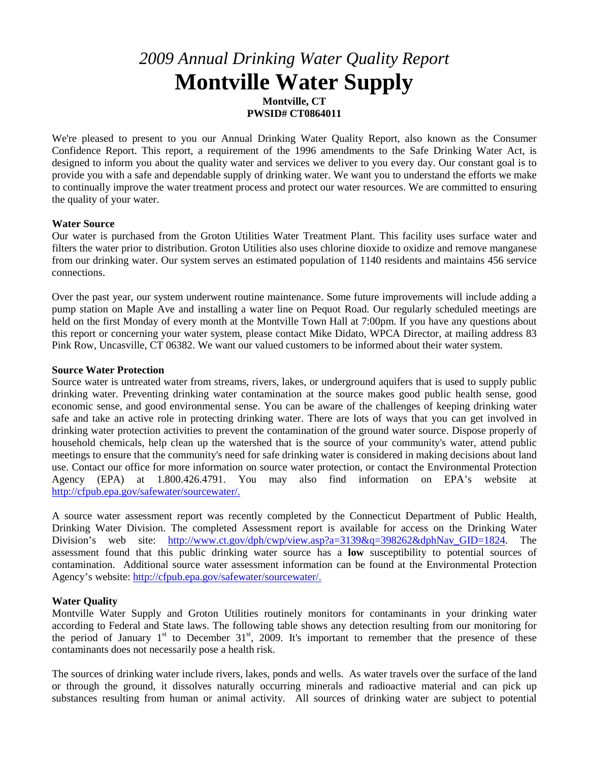# *2009 Annual Drinking Water Quality Report* **Montville Water Supply**

**Montville, CT PWSID# CT0864011**

We're pleased to present to you our Annual Drinking Water Quality Report, also known as the Consumer Confidence Report. This report, a requirement of the 1996 amendments to the Safe Drinking Water Act, is designed to inform you about the quality water and services we deliver to you every day. Our constant goal is to provide you with a safe and dependable supply of drinking water. We want you to understand the efforts we make to continually improve the water treatment process and protect our water resources. We are committed to ensuring the quality of your water.

# **Water Source**

Our water is purchased from the Groton Utilities Water Treatment Plant. This facility uses surface water and filters the water prior to distribution. Groton Utilities also uses chlorine dioxide to oxidize and remove manganese from our drinking water. Our system serves an estimated population of 1140 residents and maintains 456 service connections.

Over the past year, our system underwent routine maintenance. Some future improvements will include adding a pump station on Maple Ave and installing a water line on Pequot Road. Our regularly scheduled meetings are held on the first Monday of every month at the Montville Town Hall at 7:00pm. If you have any questions about this report or concerning your water system, please contact Mike Didato, WPCA Director, at mailing address 83 Pink Row, Uncasville, CT 06382. We want our valued customers to be informed about their water system.

## **Source Water Protection**

Source water is untreated water from streams, rivers, lakes, or underground aquifers that is used to supply public drinking water. Preventing drinking water contamination at the source makes good public health sense, good economic sense, and good environmental sense. You can be aware of the challenges of keeping drinking water safe and take an active role in protecting drinking water. There are lots of ways that you can get involved in drinking water protection activities to prevent the contamination of the ground water source. Dispose properly of household chemicals, help clean up the watershed that is the source of your community's water, attend public meetings to ensure that the community's need for safe drinking water is considered in making decisions about land use. Contact our office for more information on source water protection, or contact the Environmental Protection<br>Agency (EPA) at 1.800.426.4791. You may also find information on EPA's website at Agency (EPA) at 1.800.426.4791. You may also find information on EPA's website at [http://cfpub.epa.gov/safewater/sourcewater/.](http://cfpub.epa.gov/safewater/sourcewater/)

A source water assessment report was recently completed by the Connecticut Department of Public Health, Drinking Water Division. The completed Assessment report is available for access on the Drinking Water Division's web site: [http://www.ct.gov/dph/cwp/view.asp?a=3139&q=398262&dphNav\\_GID=1824.](http://www.ct.gov/dph/cwp/view.asp?a=3139&q=398262&dphNav_GID=1824) The assessment found that this public drinking water source has a **low** susceptibility to potential sources of contamination. Additional source water assessment information can be found at the Environmental Protection Agency's website: [http://cfpub.epa.gov/safewater/sourcewater/.](http://cfpub.epa.gov/safewater/sourcewater/)

# **Water Quality**

Montville Water Supply and Groton Utilities routinely monitors for contaminants in your drinking water according to Federal and State laws. The following table shows any detection resulting from our monitoring for the period of January  $1<sup>st</sup>$  to December  $31<sup>st</sup>$ , 2009. It's important to remember that the presence of these contaminants does not necessarily pose a health risk.

The sources of drinking water include rivers, lakes, ponds and wells. As water travels over the surface of the land or through the ground, it dissolves naturally occurring minerals and radioactive material and can pick up substances resulting from human or animal activity. All sources of drinking water are subject to potential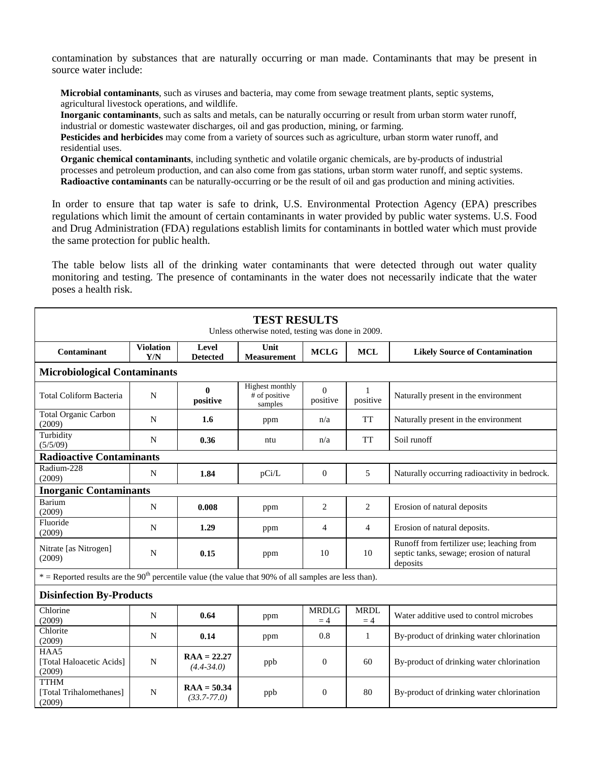contamination by substances that are naturally occurring or man made. Contaminants that may be present in source water include:

**Microbial contaminants**, such as viruses and bacteria, may come from sewage treatment plants, septic systems, agricultural livestock operations, and wildlife.

**Inorganic contaminants**, such as salts and metals, can be naturally occurring or result from urban storm water runoff, industrial or domestic wastewater discharges, oil and gas production, mining, or farming.

**Pesticides and herbicides** may come from a variety of sources such as agriculture, urban storm water runoff, and residential uses.

**Organic chemical contaminants**, including synthetic and volatile organic chemicals, are by-products of industrial processes and petroleum production, and can also come from gas stations, urban storm water runoff, and septic systems. **Radioactive contaminants** can be naturally-occurring or be the result of oil and gas production and mining activities.

In order to ensure that tap water is safe to drink, U.S. Environmental Protection Agency (EPA) prescribes regulations which limit the amount of certain contaminants in water provided by public water systems. U.S. Food and Drug Administration (FDA) regulations establish limits for contaminants in bottled water which must provide the same protection for public health.

The table below lists all of the drinking water contaminants that were detected through out water quality monitoring and testing. The presence of contaminants in the water does not necessarily indicate that the water poses a health risk.

| <b>TEST RESULTS</b><br>Unless otherwise noted, testing was done in 2009.                                            |                         |                                  |                                             |                      |                     |                                                                                                   |  |  |  |
|---------------------------------------------------------------------------------------------------------------------|-------------------------|----------------------------------|---------------------------------------------|----------------------|---------------------|---------------------------------------------------------------------------------------------------|--|--|--|
| Contaminant                                                                                                         | <b>Violation</b><br>Y/N | Level<br><b>Detected</b>         | Unit<br><b>Measurement</b>                  | <b>MCLG</b>          | <b>MCL</b>          | <b>Likely Source of Contamination</b>                                                             |  |  |  |
| <b>Microbiological Contaminants</b>                                                                                 |                         |                                  |                                             |                      |                     |                                                                                                   |  |  |  |
| <b>Total Coliform Bacteria</b>                                                                                      | N                       | $\mathbf{0}$<br>positive         | Highest monthly<br># of positive<br>samples | $\Omega$<br>positive | 1<br>positive       | Naturally present in the environment                                                              |  |  |  |
| <b>Total Organic Carbon</b><br>(2009)                                                                               | N                       | 1.6                              | ppm                                         | n/a                  | <b>TT</b>           | Naturally present in the environment                                                              |  |  |  |
| Turbidity<br>(5/5/09)                                                                                               | N                       | 0.36                             | ntu                                         | n/a                  | <b>TT</b>           | Soil runoff                                                                                       |  |  |  |
| <b>Radioactive Contaminants</b>                                                                                     |                         |                                  |                                             |                      |                     |                                                                                                   |  |  |  |
| Radium-228<br>(2009)                                                                                                | N                       | 1.84                             | pCi/L                                       | $\theta$             | 5                   | Naturally occurring radioactivity in bedrock.                                                     |  |  |  |
| <b>Inorganic Contaminants</b>                                                                                       |                         |                                  |                                             |                      |                     |                                                                                                   |  |  |  |
| Barium<br>(2009)                                                                                                    | N                       | 0.008                            | ppm                                         | 2                    | 2                   | Erosion of natural deposits                                                                       |  |  |  |
| Fluoride<br>(2009)                                                                                                  | N                       | 1.29                             | ppm                                         | $\overline{4}$       | 4                   | Erosion of natural deposits.                                                                      |  |  |  |
| Nitrate [as Nitrogen]<br>(2009)                                                                                     | N                       | 0.15                             | ppm                                         | 10                   | 10                  | Runoff from fertilizer use; leaching from<br>septic tanks, sewage; erosion of natural<br>deposits |  |  |  |
| $*$ = Reported results are the 90 <sup>th</sup> percentile value (the value that 90% of all samples are less than). |                         |                                  |                                             |                      |                     |                                                                                                   |  |  |  |
| <b>Disinfection By-Products</b>                                                                                     |                         |                                  |                                             |                      |                     |                                                                                                   |  |  |  |
| Chlorine<br>(2009)                                                                                                  | N                       | 0.64                             | ppm                                         | <b>MRDLG</b><br>$=4$ | <b>MRDL</b><br>$=4$ | Water additive used to control microbes                                                           |  |  |  |
| Chlorite<br>(2009)                                                                                                  | N                       | 0.14                             | ppm                                         | 0.8                  | 1                   | By-product of drinking water chlorination                                                         |  |  |  |
| HAA5<br>[Total Haloacetic Acids]<br>(2009)                                                                          | N                       | $RAA = 22.27$<br>$(4.4 - 34.0)$  | ppb                                         | $\Omega$             | 60                  | By-product of drinking water chlorination                                                         |  |  |  |
| <b>TTHM</b><br>[Total Trihalomethanes]<br>(2009)                                                                    | N                       | $RAA = 50.34$<br>$(33.7 - 77.0)$ | ppb                                         | $\theta$             | 80                  | By-product of drinking water chlorination                                                         |  |  |  |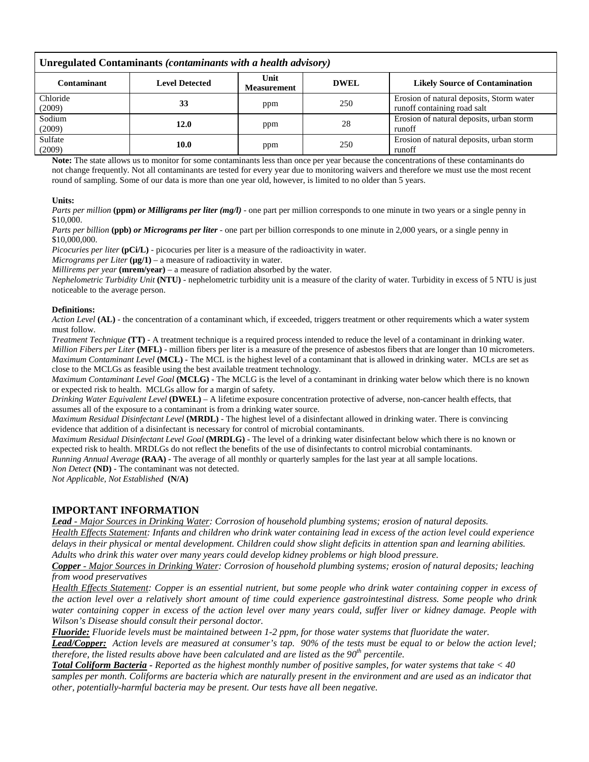| Unregulated Contaminants (contaminants with a health advisory) |                       |                            |             |                                                                         |  |  |  |  |
|----------------------------------------------------------------|-----------------------|----------------------------|-------------|-------------------------------------------------------------------------|--|--|--|--|
| <b>Contaminant</b>                                             | <b>Level Detected</b> | Unit<br><b>Measurement</b> | <b>DWEL</b> | <b>Likely Source of Contamination</b>                                   |  |  |  |  |
| Chloride<br>(2009)                                             | 33                    | ppm                        | 250         | Erosion of natural deposits, Storm water<br>runoff containing road salt |  |  |  |  |
| Sodium<br>(2009)                                               | 12.0                  | ppm                        | 28          | Erosion of natural deposits, urban storm<br>runoff                      |  |  |  |  |
| Sulfate<br>(2009)                                              | 10.0                  | ppm                        | 250         | Erosion of natural deposits, urban storm<br>runoff                      |  |  |  |  |

**Note:** The state allows us to monitor for some contaminants less than once per year because the concentrations of these contaminants do not change frequently. Not all contaminants are tested for every year due to monitoring waivers and therefore we must use the most recent round of sampling. Some of our data is more than one year old, however, is limited to no older than 5 years.

#### **Units:**

*Parts per million* (ppm) *or Milligrams per liter (mg/l)* - one part per million corresponds to one minute in two years or a single penny in \$10,000.

*Parts per billion* **(ppb)** *or Micrograms per liter* - one part per billion corresponds to one minute in 2,000 years, or a single penny in \$10,000,000.

*Picocuries per liter* **(pCi/L)** - picocuries per liter is a measure of the radioactivity in water.

*Micrograms per Liter*  $(\mu g/1)$  – a measure of radioactivity in water.

*Millirems per year* **(mrem/year)** – a measure of radiation absorbed by the water.

*Nephelometric Turbidity Unit* **(NTU)** - nephelometric turbidity unit is a measure of the clarity of water. Turbidity in excess of 5 NTU is just noticeable to the average person.

#### **Definitions:**

*Action Level* **(AL)** - the concentration of a contaminant which, if exceeded, triggers treatment or other requirements which a water system must follow.

*Treatment Technique* **(TT)** - A treatment technique is a required process intended to reduce the level of a contaminant in drinking water. *Million Fibers per Liter* **(MFL)** - million fibers per liter is a measure of the presence of asbestos fibers that are longer than 10 micrometers. *Maximum Contaminant Level* **(MCL)** - The MCL is the highest level of a contaminant that is allowed in drinking water. MCLs are set as close to the MCLGs as feasible using the best available treatment technology.

*Maximum Contaminant Level Goal* **(MCLG)** - The MCLG is the level of a contaminant in drinking water below which there is no known or expected risk to health. MCLGs allow for a margin of safety.

*Drinking Water Equivalent Level* **(DWEL)** *–* A lifetime exposure concentration protective of adverse, non-cancer health effects, that assumes all of the exposure to a contaminant is from a drinking water source.

*Maximum Residual Disinfectant Level* **(MRDL)** - The highest level of a disinfectant allowed in drinking water. There is convincing evidence that addition of a disinfectant is necessary for control of microbial contaminants.

*Maximum Residual Disinfectant Level Goal* **(MRDLG)** - The level of a drinking water disinfectant below which there is no known or expected risk to health. MRDLGs do not reflect the benefits of the use of disinfectants to control microbial contaminants.

*Running Annual Average* **(RAA) -** The average of all monthly or quarterly samples for the last year at all sample locations.

*Non Detect* **(ND)** - The contaminant was not detected.

*Not Applicable, Not Established* **(N/A)**

# **IMPORTANT INFORMATION**

*Lead - Major Sources in Drinking Water: Corrosion of household plumbing systems; erosion of natural deposits. Health Effects Statement: Infants and children who drink water containing lead in excess of the action level could experience delays in their physical or mental development. Children could show slight deficits in attention span and learning abilities. Adults who drink this water over many years could develop kidney problems or high blood pressure.* 

*Copper - Major Sources in Drinking Water: Corrosion of household plumbing systems; erosion of natural deposits; leaching from wood preservatives* 

*Health Effects Statement: Copper is an essential nutrient, but some people who drink water containing copper in excess of the action level over a relatively short amount of time could experience gastrointestinal distress. Some people who drink water containing copper in excess of the action level over many years could, suffer liver or kidney damage. People with Wilson's Disease should consult their personal doctor.*

*Fluoride: Fluoride levels must be maintained between 1-2 ppm, for those water systems that fluoridate the water.*

*Lead/Copper: Action levels are measured at consumer's tap. 90% of the tests must be equal to or below the action level; therefore, the listed results above have been calculated and are listed as the 90th percentile.*

*Total Coliform Bacteria - Reported as the highest monthly number of positive samples, for water systems that take < 40 samples per month. Coliforms are bacteria which are naturally present in the environment and are used as an indicator that other, potentially-harmful bacteria may be present. Our tests have all been negative.*